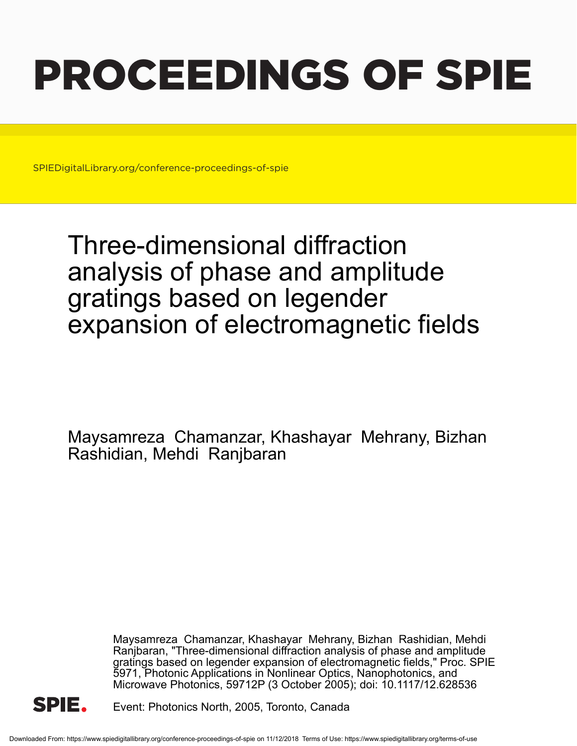# PROCEEDINGS OF SPIE

SPIEDigitalLibrary.org/conference-proceedings-of-spie

# Three-dimensional diffraction analysis of phase and amplitude gratings based on legender expansion of electromagnetic fields

Maysamreza Chamanzar, Khashayar Mehrany, Bizhan Rashidian, Mehdi Ranjbaran

> Maysamreza Chamanzar, Khashayar Mehrany, Bizhan Rashidian, Mehdi Ranjbaran, "Three-dimensional diffraction analysis of phase and amplitude gratings based on legender expansion of electromagnetic fields," Proc. SPIE 5971, Photonic Applications in Nonlinear Optics, Nanophotonics, and Microwave Photonics, 59712P (3 October 2005); doi: 10.1117/12.628536



Event: Photonics North, 2005, Toronto, Canada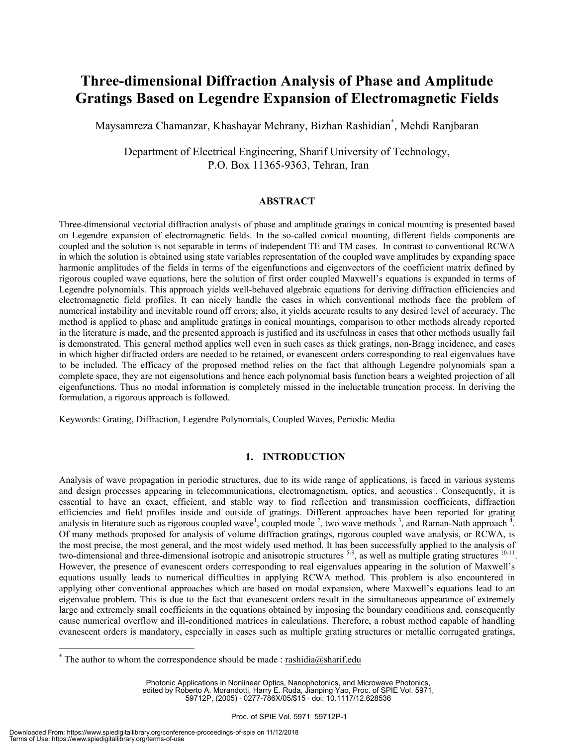### **Three-dimensional Diffraction Analysis of Phase and Amplitude Gratings Based on Legendre Expansion of Electromagnetic Fields**

Maysamreza Chamanzar, Khashayar Mehrany, Bizhan Rashidian\* , Mehdi Ranjbaran

Department of Electrical Engineering, Sharif University of Technology, P.O. Box 11365-9363, Tehran, Iran

#### **ABSTRACT**

Three-dimensional vectorial diffraction analysis of phase and amplitude gratings in conical mounting is presented based on Legendre expansion of electromagnetic fields. In the so-called conical mounting, different fields components are coupled and the solution is not separable in terms of independent TE and TM cases. In contrast to conventional RCWA in which the solution is obtained using state variables representation of the coupled wave amplitudes by expanding space harmonic amplitudes of the fields in terms of the eigenfunctions and eigenvectors of the coefficient matrix defined by rigorous coupled wave equations, here the solution of first order coupled Maxwell's equations is expanded in terms of Legendre polynomials. This approach yields well-behaved algebraic equations for deriving diffraction efficiencies and electromagnetic field profiles. It can nicely handle the cases in which conventional methods face the problem of numerical instability and inevitable round off errors; also, it yields accurate results to any desired level of accuracy. The method is applied to phase and amplitude gratings in conical mountings, comparison to other methods already reported in the literature is made, and the presented approach is justified and its usefulness in cases that other methods usually fail is demonstrated. This general method applies well even in such cases as thick gratings, non-Bragg incidence, and cases in which higher diffracted orders are needed to be retained, or evanescent orders corresponding to real eigenvalues have to be included. The efficacy of the proposed method relies on the fact that although Legendre polynomials span a complete space, they are not eigensolutions and hence each polynomial basis function bears a weighted projection of all eigenfunctions. Thus no modal information is completely missed in the ineluctable truncation process. In deriving the formulation, a rigorous approach is followed.

Keywords: Grating, Diffraction, Legendre Polynomials, Coupled Waves, Periodic Media

#### **1. INTRODUCTION**

Analysis of wave propagation in periodic structures, due to its wide range of applications, is faced in various systems and design processes appearing in telecommunications, electromagnetism, optics, and acoustics<sup>1</sup>. Consequently, it is essential to have an exact, efficient, and stable way to find reflection and transmission coefficients, diffraction efficiencies and field profiles inside and outside of gratings. Different approaches have been reported for grating analysis in literature such as rigorous coupled wave<sup>1</sup>, coupled mode<sup>2</sup>, two wave methods<sup>3</sup>, and Raman-Nath approach<sup>4</sup>. Of many methods proposed for analysis of volume diffraction gratings, rigorous coupled wave analysis, or RCWA, is the most precise, the most general, and the most widely used method. It has been successfully applied to the analysis of two-dimensional and three-dimensional isotropic and anisotropic structures <sup>5-9</sup>, as well as multiple grating structures <sup>10-11</sup>. However, the presence of evanescent orders corresponding to real eigenvalues appearing in the solution of Maxwell's equations usually leads to numerical difficulties in applying RCWA method. This problem is also encountered in applying other conventional approaches which are based on modal expansion, where Maxwell's equations lead to an eigenvalue problem. This is due to the fact that evanescent orders result in the simultaneous appearance of extremely large and extremely small coefficients in the equations obtained by imposing the boundary conditions and, consequently cause numerical overflow and ill-conditioned matrices in calculations. Therefore, a robust method capable of handling evanescent orders is mandatory, especially in cases such as multiple grating structures or metallic corrugated gratings,

1

 $*$  The author to whom the correspondence should be made : rashidia@sharif.edu

Photonic Applications in Nonlinear Optics, Nanophotonics, and Microwave Photonics, edited by Roberto A. Morandotti, Harry E. Ruda, Jianping Yao, Proc. of SPIE Vol. 5971, 59712P, (2005) · 0277-786X/05/\$15 · doi: 10.1117/12.628536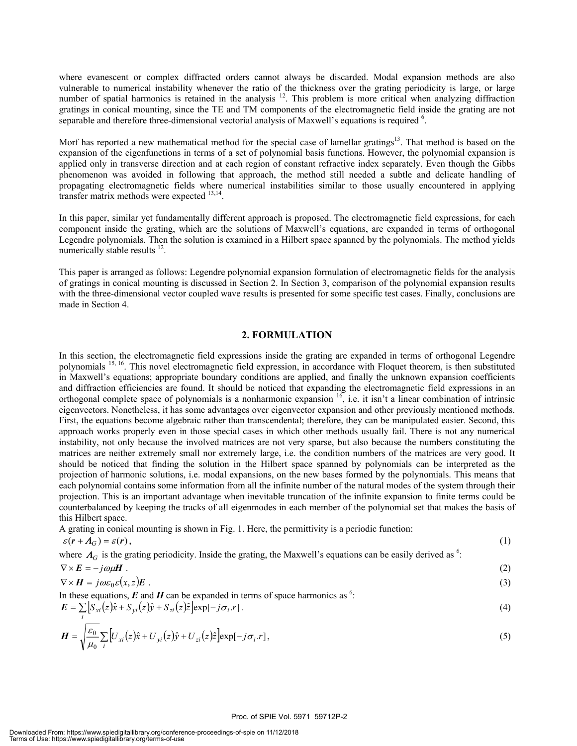where evanescent or complex diffracted orders cannot always be discarded. Modal expansion methods are also vulnerable to numerical instability whenever the ratio of the thickness over the grating periodicity is large, or large number of spatial harmonics is retained in the analysis <sup>12</sup>. This problem is more critical when analyzing diffraction gratings in conical mounting, since the TE and TM components of the electromagnetic field inside the grating are not separable and therefore three-dimensional vectorial analysis of Maxwell's equations is required <sup>6</sup>.

Morf has reported a new mathematical method for the special case of lamellar gratings<sup>13</sup>. That method is based on the expansion of the eigenfunctions in terms of a set of polynomial basis functions. However, the polynomial expansion is applied only in transverse direction and at each region of constant refractive index separately. Even though the Gibbs phenomenon was avoided in following that approach, the method still needed a subtle and delicate handling of propagating electromagnetic fields where numerical instabilities similar to those usually encountered in applying transfer matrix methods were expected 13,14.

In this paper, similar yet fundamentally different approach is proposed. The electromagnetic field expressions, for each component inside the grating, which are the solutions of Maxwell's equations, are expanded in terms of orthogonal Legendre polynomials. Then the solution is examined in a Hilbert space spanned by the polynomials. The method yields numerically stable results  $^{12}$ .

This paper is arranged as follows: Legendre polynomial expansion formulation of electromagnetic fields for the analysis of gratings in conical mounting is discussed in Section 2. In Section 3, comparison of the polynomial expansion results with the three-dimensional vector coupled wave results is presented for some specific test cases. Finally, conclusions are made in Section 4.

#### **2. FORMULATION**

In this section, the electromagnetic field expressions inside the grating are expanded in terms of orthogonal Legendre polynomials <sup>15, 16</sup>. This novel electromagnetic field expression, in accordance with Floquet theorem, is then substituted in Maxwell's equations; appropriate boundary conditions are applied, and finally the unknown expansion coefficients and diffraction efficiencies are found. It should be noticed that expanding the electromagnetic field expressions in an orthogonal complete space of polynomials is a nonharmonic expansion  $16$ , i.e. it isn't a linear combination of intrinsic eigenvectors. Nonetheless, it has some advantages over eigenvector expansion and other previously mentioned methods. First, the equations become algebraic rather than transcendental; therefore, they can be manipulated easier. Second, this approach works properly even in those special cases in which other methods usually fail. There is not any numerical instability, not only because the involved matrices are not very sparse, but also because the numbers constituting the matrices are neither extremely small nor extremely large, i.e. the condition numbers of the matrices are very good. It should be noticed that finding the solution in the Hilbert space spanned by polynomials can be interpreted as the projection of harmonic solutions, i.e. modal expansions, on the new bases formed by the polynomials. This means that each polynomial contains some information from all the infinite number of the natural modes of the system through their projection. This is an important advantage when inevitable truncation of the infinite expansion to finite terms could be counterbalanced by keeping the tracks of all eigenmodes in each member of the polynomial set that makes the basis of this Hilbert space.

A grating in conical mounting is shown in Fig. 1. Here, the permittivity is a periodic function:

$$
\varepsilon(\mathbf{r} + \mathbf{\Lambda}_G) = \varepsilon(\mathbf{r}),\tag{1}
$$

where  $\Lambda_G$  is the grating periodicity. Inside the grating, the Maxwell's equations can be easily derived as <sup>6</sup>:

$$
\nabla \times \mathbf{E} = -j\omega\mu\mathbf{H} \tag{2}
$$
  
 
$$
\nabla \times \mathbf{H} = j\omega\varepsilon_0 \varepsilon(\mathbf{x}, z)\mathbf{E} \tag{3}
$$

In these equations,  $E$  and  $H$  can be expanded in terms of space harmonics as  $6$ .

$$
E = \sum_{i} \left[ S_{xi}(z)\hat{x} + S_{yi}(z)\hat{y} + S_{zi}(z)\hat{z} \right] \exp[-j\sigma_i r] \,. \tag{4}
$$

$$
\boldsymbol{H} = \sqrt{\frac{\varepsilon_0}{\mu_0}} \sum_i \left[ U_{xi}(z)\hat{\boldsymbol{x}} + U_{yi}(z)\hat{\boldsymbol{y}} + U_{zi}(z)\hat{\boldsymbol{z}} \right] \exp[-j\sigma_i \cdot \boldsymbol{r}], \tag{5}
$$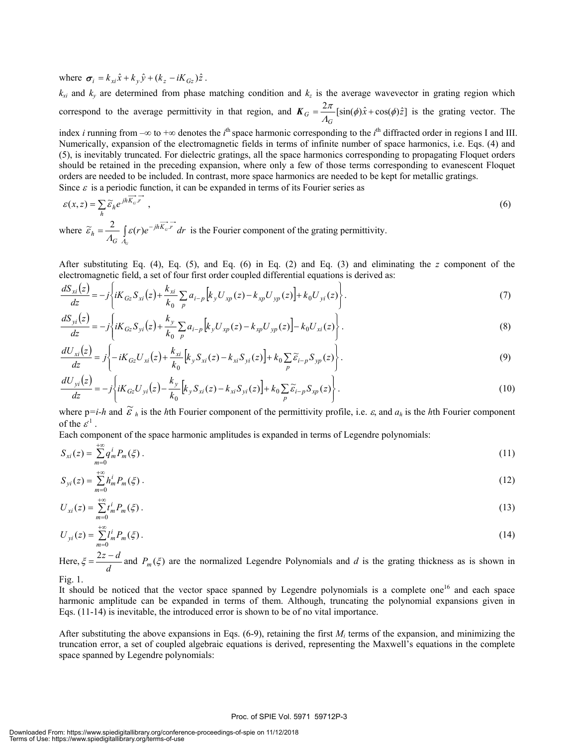where  $\sigma_i = k_{xi} \hat{x} + k_y \hat{y} + (k_z - iK_{Gz})\hat{z}$ .

 $k_{xi}$  and  $k_y$  are determined from phase matching condition and  $k_z$  is the average wavevector in grating region which correspond to the average permittivity in that region, and  $K_G = \frac{2\pi}{I} [\sin(\phi)\hat{x} + \cos(\phi)\hat{z}]$  $K_G = \frac{2\pi}{A_G} [\sin(\phi)\hat{x} + \cos(\phi)\hat{z}]$  is the grating vector. The

index *i* running from  $-\infty$  to  $+\infty$  denotes the *i*<sup>th</sup> space harmonic corresponding to the *i*<sup>th</sup> diffracted order in regions I and III. Numerically, expansion of the electromagnetic fields in terms of infinite number of space harmonics, i.e. Eqs. (4) and (5), is inevitably truncated. For dielectric gratings, all the space harmonics corresponding to propagating Floquet orders should be retained in the preceding expansion, where only a few of those terms corresponding to evanescent Floquet orders are needed to be included. In contrast, more space harmonics are needed to be kept for metallic gratings.

Since  $\varepsilon$  is a periodic function, it can be expanded in terms of its Fourier series as

$$
\varepsilon(x, z) = \sum_{h} \widetilde{\varepsilon}_{h} e^{jh\overline{K_{0}}, r}
$$
\n
$$
\sum_{h} \widetilde{\varepsilon}_{h}(x) e^{-jh\overline{K_{0}}, r} dx \text{ is the Fourier component of the origin segment.}
$$
\n(6)

where  $\widetilde{\varepsilon}_h = \frac{2}{4} \int \mathcal{E}(r) e^{-r}$ *G*  $F$ ) $e^{-jhK_G.r}$  *dr*  $h = \frac{1}{A_G} \int_A$  $\widetilde{\varepsilon}_h = \frac{2}{4c} \int \varepsilon(r) e^{-jh\overrightarrow{K_c}r} dr$  is the Fourier component of the grating permittivity.

After substituting Eq. (4), Eq. (5), and Eq. (6) in Eq. (2) and Eq. (3) and eliminating the *z* component of the electromagnetic field, a set of four first order coupled differential equations is derived as:

$$
\frac{dS_{xi}(z)}{dz} = -j \left\{ iK_{Gz} S_{xi}(z) + \frac{k_{xi}}{k_0} \sum_{p} a_{i-p} \left[ k_y U_{xp}(z) - k_{xp} U_{yp}(z) \right] + k_0 U_{yi}(z) \right\}.
$$
\n(7)

$$
\frac{dS_{yi}(z)}{dz} = -j \left\{ iK_{Gz}S_{yi}(z) + \frac{k_y}{k_0} \sum_{p} a_{i-p} \left[ k_y U_{xp}(z) - k_{xp} U_{yp}(z) \right] - k_0 U_{xi}(z) \right\}.
$$
\n(8)

$$
\frac{dU_{xi}(z)}{dz} = j \left\{ -iK_{Gz}U_{xi}(z) + \frac{k_{xi}}{k_0} \left[ k_y S_{xi}(z) - k_{xi} S_{yi}(z) \right] + k_0 \sum_{p} \widetilde{\varepsilon}_{i-p} S_{yp}(z) \right\}.
$$
\n(9)

$$
\frac{dU_{yi}(z)}{dz} = -j \left\{ iK_{Gz}U_{yi}(z) - \frac{k_y}{k_0} \left[ k_y S_{xi}(z) - k_{xi} S_{yi}(z) \right] + k_0 \sum_{p} \widetilde{\varepsilon}_{i-p} S_{xp}(z) \right\}.
$$
\n(10)

where  $p=i-h$  and  $\tilde{\varepsilon}_h$  is the *h*th Fourier component of the permittivity profile, i.e.  $\varepsilon$ , and  $a_h$  is the *h*th Fourier component of the  $\varepsilon^1$ .

Each component of the space harmonic amplitudes is expanded in terms of Legendre polynomials:

$$
S_{xi}(z) = \sum_{m=0}^{+\infty} q_m^i P_m(\xi).
$$
 (11)

$$
S_{yi}(z) = \sum_{m=0}^{+\infty} h_m^i P_m(\xi) \,. \tag{12}
$$

$$
U_{xi}(z) = \sum_{m=0}^{+\infty} t_m^i P_m(\xi).
$$
 (13)

$$
U_{yi}(z) = \sum_{m=0}^{+\infty} l_m^i P_m(\xi).
$$
 (14)

Here,  $\zeta = \frac{2z - d}{d}$  and  $P_m(\zeta)$  are the normalized Legendre Polynomials and *d* is the grating thickness as is shown in

Fig. 1.

It should be noticed that the vector space spanned by Legendre polynomials is a complete one<sup>16</sup> and each space harmonic amplitude can be expanded in terms of them. Although, truncating the polynomial expansions given in Eqs. (11-14) is inevitable, the introduced error is shown to be of no vital importance.

After substituting the above expansions in Eqs.  $(6-9)$ , retaining the first  $M_i$  terms of the expansion, and minimizing the truncation error, a set of coupled algebraic equations is derived, representing the Maxwell's equations in the complete space spanned by Legendre polynomials: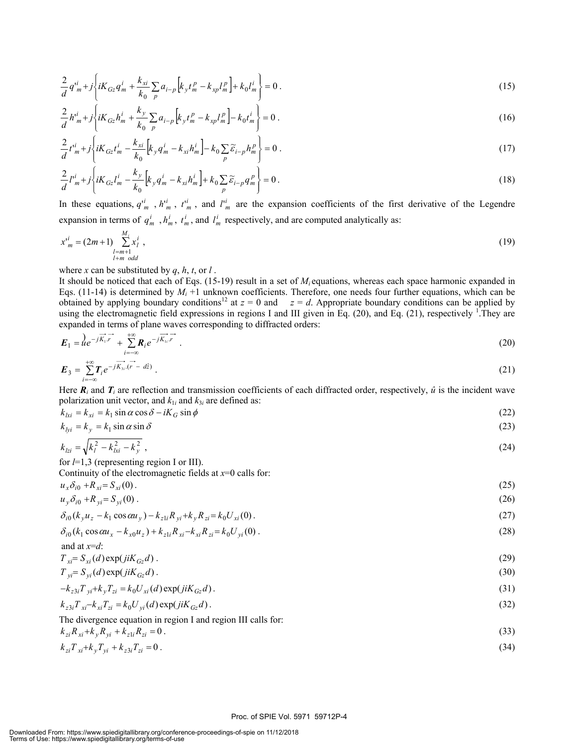$$
\frac{2}{d}q^{i}_{m} + j\left\{iK_{Gz}q^{i}_{m} + \frac{k_{xi}}{k_{0}}\sum_{p}a_{i-p}\left[k_{y}t^{p}_{m} - k_{xp}t^{p}_{m}\right] + k_{0}t^{i}_{m}\right\} = 0.
$$
\n(15)

$$
\frac{2}{d}h_{m}^{i} + j\left\{iK_{Gz}h_{m}^{i} + \frac{k_{y}}{k_{0}}\sum_{p}a_{i-p}\left[k_{y}t_{m}^{p} - k_{xp}t_{m}^{p}\right] - k_{0}t_{m}^{i}\right\} = 0.
$$
\n(16)

$$
\frac{2}{d}t^i_{m} + j\left\{ iK_{Gz}t_m^i - \frac{k_{xi}}{k_0} \left[ k_y q_m^i - k_{xi}h_m^i \right] - k_0 \sum_{p} \widetilde{\varepsilon}_{i-p}h_m^p \right\} = 0 \tag{17}
$$

$$
\frac{2}{d}l^i_{m} + j\left\{ iK_{Gz}l^i_{m} - \frac{k_y}{k_0}\left[k_yq^i_{m} - k_{xi}h^i_{m}\right] + k_0\sum_{p}\widetilde{\epsilon}_{i-p}q^p_{m}\right\} = 0.
$$
\n(18)

In these equations,  $q^{i}_{m}$ ,  $h^{i}_{m}$ ,  $t^{i}_{m}$ , and  $l^{i}_{m}$  are the expansion coefficients of the first derivative of the Legendre expansion in terms of  $q_m^i$ ,  $h_m^i$ ,  $t_m^i$ , and  $l_m^i$  respectively, and are computed analytically as:

$$
x^{i}_{m} = (2m+1) \sum_{\substack{l=m+1 \\ l+m \text{ odd}}}^{M_{i}} x_{l}^{i} , \qquad (19)
$$

where *x* can be substituted by  $q$ ,  $h$ ,  $t$ , or  $l$ .

It should be noticed that each of Eqs. (15-19) result in a set of  $M_i$  equations, whereas each space harmonic expanded in Eqs. (11-14) is determined by  $M_i$  +1 unknown coefficients. Therefore, one needs four further equations, which can be obtained by applying boundary conditions<sup>12</sup> at  $z = 0$  and  $z = d$ . Appropriate boundary conditions can be applied by using the electromagnetic field expressions in regions I and III given in Eq. (20), and Eq. (21), respectively <sup>1</sup>. They are expanded in terms of plane waves corresponding to diffracted orders:

$$
E_1 = de^{-j\overrightarrow{K_1} \cdot \overrightarrow{r}} + \sum_{i=-\infty}^{+\infty} R_i e^{-j\overrightarrow{K_{ii} \cdot \overrightarrow{r}}}
$$
\n
$$
(20)
$$

$$
E_3 = \sum_{i=-\infty}^{+\infty} T_i e^{-j\overline{K_{3i}} \cdot (\overline{r} - d\hat{z})} \ . \tag{21}
$$

Here  $\bm{R}_i$  and  $\bm{T}_i$  are reflection and transmission coefficients of each diffracted order, respectively,  $\hat{u}$  is the incident wave polarization unit vector, and  $k_{1i}$  and  $k_{3i}$  are defined as:

$$
k_{lxi} = k_{xi} = k_1 \sin \alpha \cos \delta - iK_G \sin \phi
$$
\n
$$
k_{lx} = k = k, \sin \alpha \sin \delta
$$
\n(22)

$$
\kappa_{lji} = \kappa_y - \kappa_1 \sin \alpha \sin \theta \tag{23}
$$
\n
$$
k_{lzi} = \sqrt{k_l^2 - k_{ki}^2 - k_y^2} \tag{24}
$$

for *l*=1,3 (representing region I or III).

Continuity of the electromagnetic fields at  $x=0$  calls for:

$$
u_x \delta_{i0} + R_{xi} = S_{xi}(0). \tag{25}
$$

$$
u_y \delta_{i0} + R_{yi} = S_{yi}(0)
$$
\n
$$
s_{y} (k, u, k, 200.000) = k_{y} R_{y} + k_{z} R_{y} - k_{z} I_{y}(0)
$$
\n(26)

$$
\delta_{i0}(k_{y}u_{z} - k_{1}\cos\alpha u_{y}) - k_{z1i}R_{yi} + k_{y}R_{zi} = k_{0}U_{xi}(0).
$$
\n(27)

$$
\delta_{i0}(k_1 \cos \alpha u_x - k_{x0} u_z) + k_{z1i} R_{xi} - k_{xi} R_{zi} = k_0 U_{yi}(0) \,. \tag{28}
$$

and at 
$$
x=d
$$
:  
\n
$$
T_{xi} = S_{xi}(d) \exp(jiK_{Gz}d)
$$
\n(29)

$$
T_{yi} = S_{yi}(d) \exp(j i K_{Gz} d). \tag{30}
$$

$$
-k_{z3i}T_{yi} + k_yT_{zi} = k_0U_{xi}(d) \exp(jiK_{Gz}d).
$$
\n(31)

$$
k_{z3i}T_{xi} - k_{xi}T_{zi} = k_0U_{yi}(d) \exp(jiK_{Gz}d).
$$
\n(32)

The divergence equation in region I and region III calls for:  
\n
$$
k_{zi}R_{xi} + k_{y}R_{yi} + k_{zli}R_{zi} = 0.
$$
\n(33)

$$
k_{zi}T_{xi} + k_y T_{yi} + k_{z3i} T_{zi} = 0.
$$
\n(34)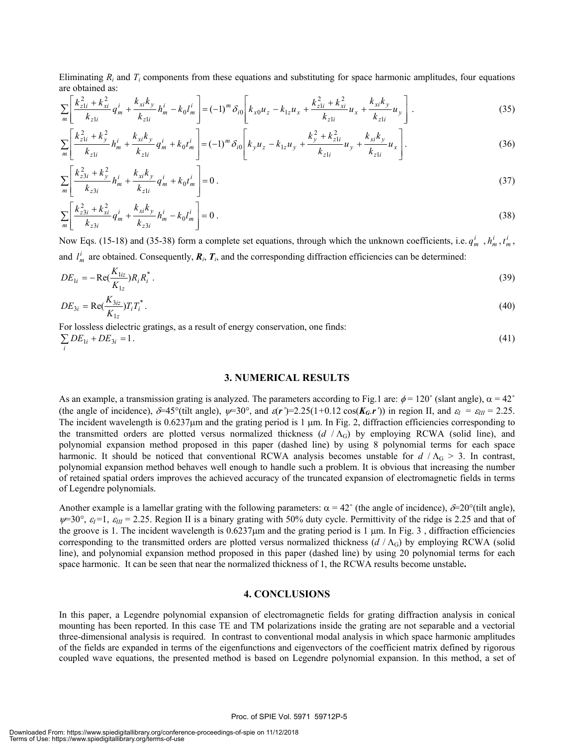Eliminating  $R_i$  and  $T_i$  components from these equations and substituting for space harmonic amplitudes, four equations are obtained as:

$$
\sum_{m} \left[ \frac{k_{zli}^2 + k_{xi}^2}{k_{zli}} q_m^i + \frac{k_{xi} k_y}{k_{zli}} h_m^i - k_0 l_m^i \right] = (-1)^m \delta_{i0} \left[ k_{x0} u_z - k_{1z} u_x + \frac{k_{zli}^2 + k_{xi}^2}{k_{zli}} u_x + \frac{k_{xi} k_y}{k_{zli}} u_y \right].
$$
\n(35)

$$
\sum_{m} \left[ \frac{k_{zli}^2 + k_y^2}{k_{zli}} h_m^i + \frac{k_{xi} k_y}{k_{zli}} q_m^i + k_0 t_m^i \right] = (-1)^m \delta_{i0} \left[ k_y u_z - k_{1z} u_y + \frac{k_y^2 + k_{zli}^2}{k_{zli}} u_y + \frac{k_{xi} k_y}{k_{zli}} u_x \right].
$$
 (36)

$$
\sum_{m} \left[ \frac{k_{z3i}^2 + k_y^2}{k_{z3i}} h_m^i + \frac{k_{xi} k_y}{k_{z1i}} q_m^i + k_0 t_m^i \right] = 0 \,. \tag{37}
$$

$$
\sum_{m} \left[ \frac{k_{z3i}^2 + k_{xi}^2}{k_{z3i}} q_m^i + \frac{k_{xi} k_y}{k_{z3i}} h_m^i - k_0 l_m^i \right] = 0 \,. \tag{38}
$$

Now Eqs. (15-18) and (35-38) form a complete set equations, through which the unknown coefficients, i.e.  $q_m^i$ ,  $h_m^i$ ,  $t_m^i$ , and  $l_m^i$  are obtained. Consequently,  $\mathbf{R}_i$ ,  $\mathbf{T}_i$ , and the corresponding diffraction efficiencies can be determined:

$$
DE_{1i} = -\operatorname{Re}(\frac{K_{1iz}}{K_{1z}})R_i R_i^* \tag{39}
$$

$$
DE_{3i} = \text{Re}(\frac{K_{3iz}}{K_{1z}})T_i T_i^* \,. \tag{40}
$$

For lossless dielectric gratings, as a result of energy conservation, one finds:  $\sum_{i} DE_{1i} + DE_{3i} = 1.$  (41)

## **3. NUMERICAL RESULTS**

As an example, a transmission grating is analyzed. The parameters according to Fig.1 are:  $\phi = 120^\circ$  (slant angle),  $\alpha = 42^\circ$ (the angle of incidence),  $\delta = 45^{\circ}$ (tilt angle),  $\psi = 30^{\circ}$ , and  $\varepsilon (r') = 2.25(1+0.12 \cos(K_{G} r'))$  in region II, and  $\varepsilon_{I} = \varepsilon_{III} = 2.25$ . The incident wavelength is  $0.6237\mu$ m and the grating period is 1  $\mu$ m. In Fig. 2, diffraction efficiencies corresponding to the transmitted orders are plotted versus normalized thickness  $(d / \Lambda_{\rm G})$  by employing RCWA (solid line), and polynomial expansion method proposed in this paper (dashed line) by using 8 polynomial terms for each space harmonic. It should be noticed that conventional RCWA analysis becomes unstable for  $d / \Lambda$ <sub>G</sub> > 3. In contrast, polynomial expansion method behaves well enough to handle such a problem. It is obvious that increasing the number of retained spatial orders improves the achieved accuracy of the truncated expansion of electromagnetic fields in terms of Legendre polynomials.

Another example is a lamellar grating with the following parameters:  $\alpha = 42^{\circ}$  (the angle of incidence),  $\delta = 20^{\circ}$ (tilt angle),  $\psi$ =30°,  $\varepsilon$ <sub>I</sub> = 1,  $\varepsilon$ <sub>III</sub> = 2.25. Region II is a binary grating with 50% duty cycle. Permittivity of the ridge is 2.25 and that of the groove is 1. The incident wavelength is  $0.6237 \mu m$  and the grating period is 1  $\mu$ m. In Fig. 3, diffraction efficiencies corresponding to the transmitted orders are plotted versus normalized thickness ( $d / \Lambda_G$ ) by employing RCWA (solid line), and polynomial expansion method proposed in this paper (dashed line) by using 20 polynomial terms for each space harmonic. It can be seen that near the normalized thickness of 1, the RCWA results become unstable**.**

#### **4. CONCLUSIONS**

In this paper, a Legendre polynomial expansion of electromagnetic fields for grating diffraction analysis in conical mounting has been reported. In this case TE and TM polarizations inside the grating are not separable and a vectorial three-dimensional analysis is required. In contrast to conventional modal analysis in which space harmonic amplitudes of the fields are expanded in terms of the eigenfunctions and eigenvectors of the coefficient matrix defined by rigorous coupled wave equations, the presented method is based on Legendre polynomial expansion. In this method, a set of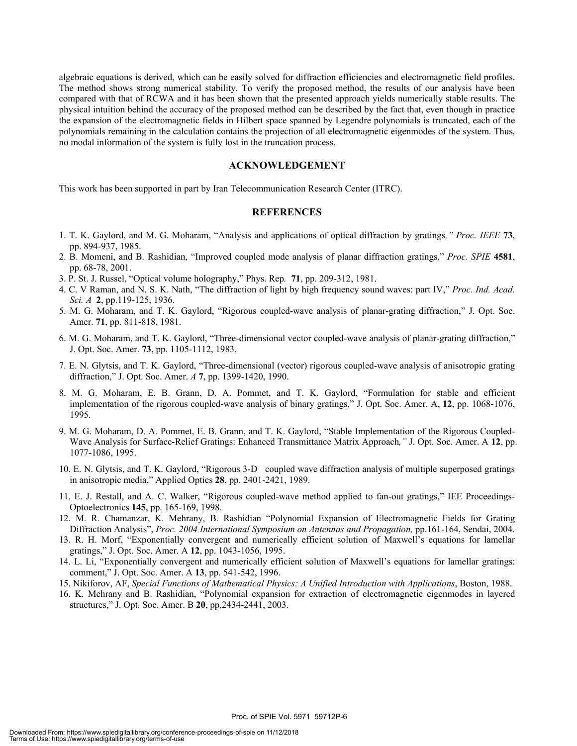algebraic equations is derived, which can be easily solved for diffraction efficiencies and electromagnetic field profiles. The method shows strong numerical stability. To verify the proposed method, the results of our analysis have been compared with that of RCWA and it has been shown that the presented approach yields numerically stable results. The physical intuition behind the accuracy of the proposed method can be described by the fact that, even though in practice the expansion of the electromagnetic fields in Hilbert space spanned by Legendre polynomials is truncated, each of the polynomials remaining in the calculation contains the projection of all electromagnetic eigenmodes of the system. Thus, no modal information of the system is fully lost in the truncation process.

#### **ACKNOWLEDGEMENT**

This work has been supported in part by Iran Telecommunication Research Center (ITRC).

#### **REFERENCES**

- 1. T. K. Gaylord, and M. G. Moharam, "Analysis and applications of optical diffraction by gratings*," Proc. IEEE* **73**, pp. 894-937, 1985.
- 2. B. Momeni, and B. Rashidian, "Improved coupled mode analysis of planar diffraction gratings," *Proc. SPIE* **4581**, pp. 68-78, 2001.
- 3. P. St. J. Russel, "Optical volume holography," Phys. Rep*.* **71**, pp. 209-312, 1981.
- 4. C. V Raman, and N. S. K. Nath, "The diffraction of light by high frequency sound waves: part IV," *Proc. Ind. Acad. Sci. A* **2**, pp.119-125, 1936.
- 5. M. G. Moharam, and T. K. Gaylord, "Rigorous coupled-wave analysis of planar-grating diffraction," J. Opt. Soc. Amer. **71**, pp. 811-818, 1981.
- 6. M. G. Moharam, and T. K. Gaylord, "Three-dimensional vector coupled-wave analysis of planar-grating diffraction," J. Opt. Soc. Amer. **73**, pp. 1105-1112, 1983.
- 7. E. N. Glytsis, and T. K. Gaylord, "Three-dimensional (vector) rigorous coupled-wave analysis of anisotropic grating diffraction," J. Opt. Soc. Amer. *A* **7**, pp. 1399-1420, 1990.
- 8. M. G. Moharam, E. B. Grann, D. A. Pommet, and T. K. Gaylord, "Formulation for stable and efficient implementation of the rigorous coupled-wave analysis of binary gratings," J. Opt. Soc. Amer. A, **12**, pp. 1068-1076, 1995.
- 9. M. G. Moharam, D. A. Pommet, E. B. Grann, and T. K. Gaylord, "Stable Implementation of the Rigorous Coupled-Wave Analysis for Surface-Relief Gratings: Enhanced Transmittance Matrix Approach*,"* J. Opt. Soc. Amer. A **12**, pp. 1077-1086, 1995.
- 10. E. N. Glytsis, and T. K. Gaylord, "Rigorous 3-D coupled wave diffraction analysis of multiple superposed gratings in anisotropic media," Applied Optics **28**, pp. 2401-2421, 1989.
- 11. E. J. Restall, and A. C. Walker, "Rigorous coupled-wave method applied to fan-out gratings," IEE Proceedings-Optoelectronics **145**, pp. 165-169, 1998.
- 12. M. R. Chamanzar, K. Mehrany, B. Rashidian "Polynomial Expansion of Electromagnetic Fields for Grating Diffraction Analysis", *Proc. 2004 International Symposium on Antennas and Propagation,* pp.161-164, Sendai, 2004.
- 13. R. H. Morf, "Exponentially convergent and numerically efficient solution of Maxwell's equations for lamellar gratings," J. Opt. Soc. Amer. A **12**, pp. 1043-1056, 1995.
- 14. L. Li, "Exponentially convergent and numerically efficient solution of Maxwell's equations for lamellar gratings: comment," J. Opt. Soc. Amer. A **13**, pp. 541-542, 1996.
- 15. Nikiforov, AF, *Special Functions of Mathematical Physics: A Unified Introduction with Applications*, Boston, 1988.
- 16. K. Mehrany and B. Rashidian, "Polynomial expansion for extraction of electromagnetic eigenmodes in layered structures," J. Opt. Soc. Amer. B **20**, pp.2434-2441, 2003.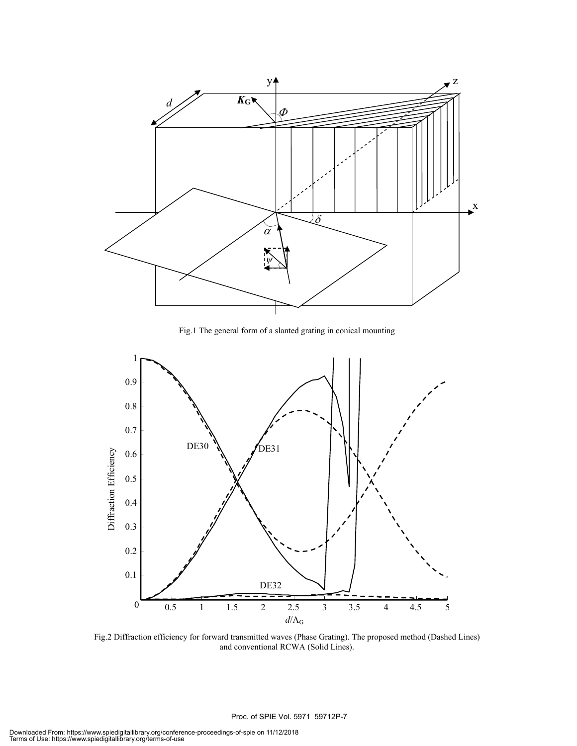

Fig.1 The general form of a slanted grating in conical mounting



Fig.2 Diffraction efficiency for forward transmitted waves (Phase Grating). The proposed method (Dashed Lines) and conventional RCWA (Solid Lines).